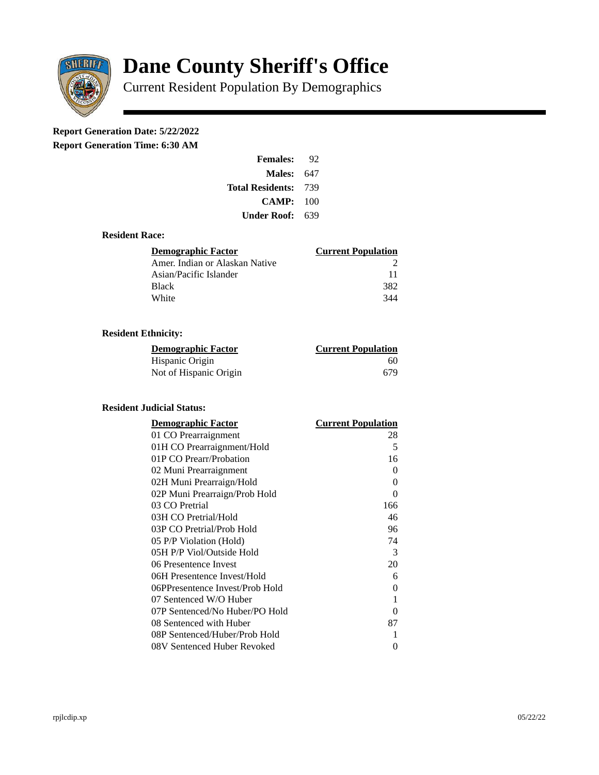

# **Dane County Sheriff's Office**

Current Resident Population By Demographics

# **Report Generation Date: 5/22/2022**

**Report Generation Time: 6:30 AM** 

| <b>Females:</b>         | 92  |
|-------------------------|-----|
| Males:                  | 647 |
| <b>Total Residents:</b> | 739 |
| CAMP:                   | 100 |
| Under Roof:             | 639 |

### **Resident Race:**

| Demographic Factor             | <b>Current Population</b> |
|--------------------------------|---------------------------|
| Amer. Indian or Alaskan Native |                           |
| Asian/Pacific Islander         | 11                        |
| Black                          | 382                       |
| White                          | 344                       |

# **Resident Ethnicity:**

| <u> Demographic Factor</u> | <b>Current Population</b> |
|----------------------------|---------------------------|
| Hispanic Origin            | 60                        |
| Not of Hispanic Origin     | 679                       |

# **Resident Judicial Status:**

| <b>Demographic Factor</b>       | <b>Current Population</b> |
|---------------------------------|---------------------------|
| 01 CO Prearraignment            | 28                        |
| 01H CO Prearraignment/Hold      | 5                         |
| 01P CO Prearr/Probation         | 16                        |
| 02 Muni Prearraignment          | 0                         |
| 02H Muni Prearraign/Hold        | 0                         |
| 02P Muni Prearraign/Prob Hold   | 0                         |
| 03 CO Pretrial                  | 166                       |
| 03H CO Pretrial/Hold            | 46                        |
| 03P CO Pretrial/Prob Hold       | 96                        |
| 05 P/P Violation (Hold)         | 74                        |
| 05H P/P Viol/Outside Hold       | 3                         |
| 06 Presentence Invest           | 20                        |
| 06H Presentence Invest/Hold     | 6                         |
| 06PPresentence Invest/Prob Hold | 0                         |
| 07 Sentenced W/O Huber          | 1                         |
| 07P Sentenced/No Huber/PO Hold  | 0                         |
| 08 Sentenced with Huber         | 87                        |
| 08P Sentenced/Huber/Prob Hold   | 1                         |
| 08V Sentenced Huber Revoked     | 0                         |